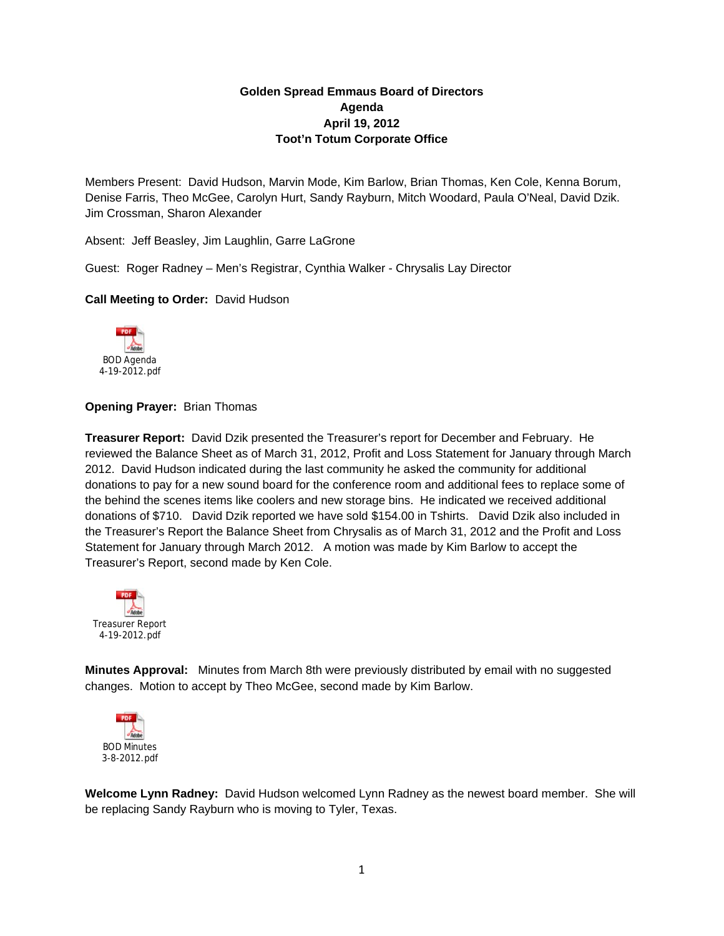# **Golden Spread Emmaus Board of Directors Agenda April 19, 2012 Toot'n Totum Corporate Office**

Members Present: David Hudson, Marvin Mode, Kim Barlow, Brian Thomas, Ken Cole, Kenna Borum, Denise Farris, Theo McGee, Carolyn Hurt, Sandy Rayburn, Mitch Woodard, Paula O'Neal, David Dzik. Jim Crossman, Sharon Alexander

Absent: Jeff Beasley, Jim Laughlin, Garre LaGrone

Guest: Roger Radney – Men's Registrar, Cynthia Walker - Chrysalis Lay Director

### **Call Meeting to Order:** David Hudson



## **Opening Prayer:** Brian Thomas

**Treasurer Report:** David Dzik presented the Treasurer's report for December and February. He reviewed the Balance Sheet as of March 31, 2012, Profit and Loss Statement for January through March 2012. David Hudson indicated during the last community he asked the community for additional donations to pay for a new sound board for the conference room and additional fees to replace some of the behind the scenes items like coolers and new storage bins. He indicated we received additional donations of \$710. David Dzik reported we have sold \$154.00 in Tshirts. David Dzik also included in the Treasurer's Report the Balance Sheet from Chrysalis as of March 31, 2012 and the Profit and Loss Statement for January through March 2012. A motion was made by Kim Barlow to accept the Treasurer's Report, second made by Ken Cole.



**Minutes Approval:** Minutes from March 8th were previously distributed by email with no suggested changes. Motion to accept by Theo McGee, second made by Kim Barlow.



**Welcome Lynn Radney:** David Hudson welcomed Lynn Radney as the newest board member. She will be replacing Sandy Rayburn who is moving to Tyler, Texas.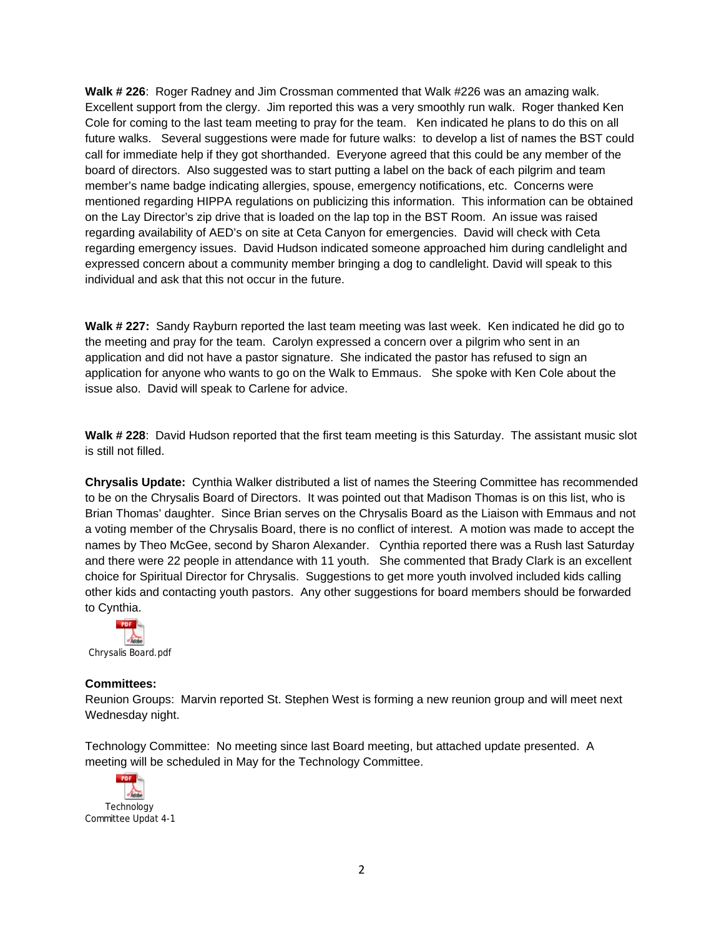**Walk # 226**: Roger Radney and Jim Crossman commented that Walk #226 was an amazing walk. Excellent support from the clergy. Jim reported this was a very smoothly run walk. Roger thanked Ken Cole for coming to the last team meeting to pray for the team. Ken indicated he plans to do this on all future walks. Several suggestions were made for future walks: to develop a list of names the BST could call for immediate help if they got shorthanded. Everyone agreed that this could be any member of the board of directors. Also suggested was to start putting a label on the back of each pilgrim and team member's name badge indicating allergies, spouse, emergency notifications, etc. Concerns were mentioned regarding HIPPA regulations on publicizing this information. This information can be obtained on the Lay Director's zip drive that is loaded on the lap top in the BST Room. An issue was raised regarding availability of AED's on site at Ceta Canyon for emergencies. David will check with Ceta regarding emergency issues. David Hudson indicated someone approached him during candlelight and expressed concern about a community member bringing a dog to candlelight. David will speak to this individual and ask that this not occur in the future.

**Walk # 227:** Sandy Rayburn reported the last team meeting was last week. Ken indicated he did go to the meeting and pray for the team. Carolyn expressed a concern over a pilgrim who sent in an application and did not have a pastor signature. She indicated the pastor has refused to sign an application for anyone who wants to go on the Walk to Emmaus. She spoke with Ken Cole about the issue also. David will speak to Carlene for advice.

**Walk # 228**: David Hudson reported that the first team meeting is this Saturday. The assistant music slot is still not filled.

**Chrysalis Update:** Cynthia Walker distributed a list of names the Steering Committee has recommended to be on the Chrysalis Board of Directors. It was pointed out that Madison Thomas is on this list, who is Brian Thomas' daughter. Since Brian serves on the Chrysalis Board as the Liaison with Emmaus and not a voting member of the Chrysalis Board, there is no conflict of interest. A motion was made to accept the names by Theo McGee, second by Sharon Alexander. Cynthia reported there was a Rush last Saturday and there were 22 people in attendance with 11 youth. She commented that Brady Clark is an excellent choice for Spiritual Director for Chrysalis. Suggestions to get more youth involved included kids calling other kids and contacting youth pastors. Any other suggestions for board members should be forwarded to Cynthia.



#### **Committees:**

Reunion Groups: Marvin reported St. Stephen West is forming a new reunion group and will meet next Wednesday night.

Technology Committee: No meeting since last Board meeting, but attached update presented. A meeting will be scheduled in May for the Technology Committee.

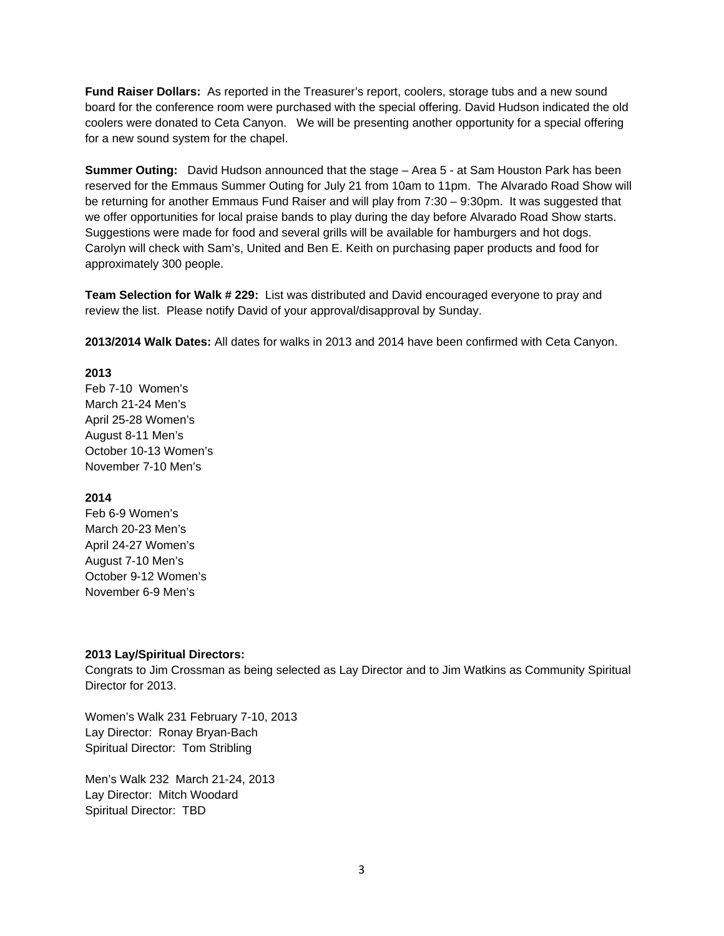**Fund Raiser Dollars:** As reported in the Treasurer's report, coolers, storage tubs and a new sound board for the conference room were purchased with the special offering. David Hudson indicated the old coolers were donated to Ceta Canyon. We will be presenting another opportunity for a special offering for a new sound system for the chapel.

**Summer Outing:** David Hudson announced that the stage – Area 5 - at Sam Houston Park has been reserved for the Emmaus Summer Outing for July 21 from 10am to 11pm. The Alvarado Road Show will be returning for another Emmaus Fund Raiser and will play from 7:30 – 9:30pm. It was suggested that we offer opportunities for local praise bands to play during the day before Alvarado Road Show starts. Suggestions were made for food and several grills will be available for hamburgers and hot dogs. Carolyn will check with Sam's, United and Ben E. Keith on purchasing paper products and food for approximately 300 people.

**Team Selection for Walk # 229:** List was distributed and David encouraged everyone to pray and review the list. Please notify David of your approval/disapproval by Sunday.

**2013/2014 Walk Dates:** All dates for walks in 2013 and 2014 have been confirmed with Ceta Canyon.

## **2013**

Feb 7-10 Women's March 21-24 Men's April 25-28 Women's August 8-11 Men's October 10-13 Women's November 7-10 Men's

## **2014**

Feb 6-9 Women's March 20-23 Men's April 24-27 Women's August 7-10 Men's October 9-12 Women's November 6-9 Men's

## **2013 Lay/Spiritual Directors:**

Congrats to Jim Crossman as being selected as Lay Director and to Jim Watkins as Community Spiritual Director for 2013.

Women's Walk 231 February 7-10, 2013 Lay Director: Ronay Bryan-Bach Spiritual Director: Tom Stribling

Men's Walk 232 March 21-24, 2013 Lay Director: Mitch Woodard Spiritual Director: TBD